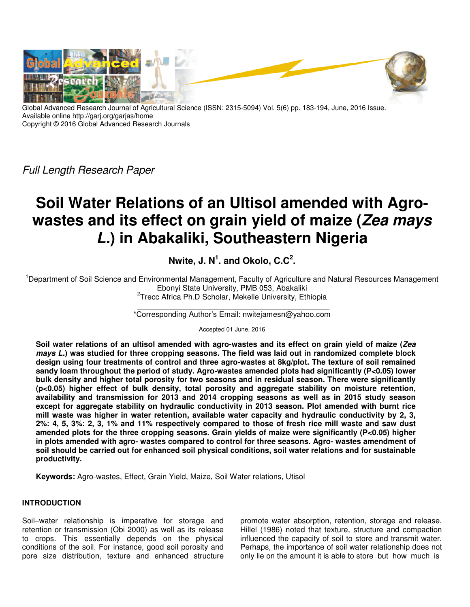

Global Advanced Research Journal of Agricultural Science (ISSN: 2315-5094) Vol. 5(6) pp. 183-194, June, 2016 Issue. Available online http://garj.org/garjas/home Copyright © 2016 Global Advanced Research Journals

*Full Length Research Paper*

# **Soil Water Relations of an Ultisol amended with Agrowastes and its effect on grain yield of maize (Zea mays L.) in Abakaliki, Southeastern Nigeria**

**Nwite, J. N<sup>1</sup> . and Okolo, C.C<sup>2</sup> .** 

<sup>1</sup>Department of Soil Science and Environmental Management, Faculty of Agriculture and Natural Resources Management Ebonyi State University, PMB 053, Abakaliki <sup>2</sup>Trecc Africa Ph.D Scholar, Mekelle University, Ethiopia

\*Corresponding Author's Email: nwitejamesn@yahoo.com

Accepted 01 June, 2016

**Soil water relations of an ultisol amended with agro-wastes and its effect on grain yield of maize (Zea mays L.) was studied for three cropping seasons. The field was laid out in randomized complete block design using four treatments of control and three agro-wastes at 8kg/plot. The texture of soil remained sandy loam throughout the period of study. Agro-wastes amended plots had significantly (P<0.05) lower bulk density and higher total porosity for two seasons and in residual season. There were significantly (p<0.05) higher effect of bulk density, total porosity and aggregate stability on moisture retention, availability and transmission for 2013 and 2014 cropping seasons as well as in 2015 study season except for aggregate stability on hydraulic conductivity in 2013 season. Plot amended with burnt rice mill waste was higher in water retention, available water capacity and hydraulic conductivity by 2, 3, 2%: 4, 5, 3%: 2, 3, 1% and 11% respectively compared to those of fresh rice mill waste and saw dust amended plots for the three cropping seasons. Grain yields of maize were significantly (P<0.05) higher in plots amended with agro- wastes compared to control for three seasons. Agro- wastes amendment of soil should be carried out for enhanced soil physical conditions, soil water relations and for sustainable productivity.** 

**Keywords:** Agro-wastes, Effect, Grain Yield, Maize, Soil Water relations, Utisol

# **INTRODUCTION**

Soil–water relationship is imperative for storage and retention or transmission (Obi 2000) as well as its release to crops. This essentially depends on the physical conditions of the soil. For instance, good soil porosity and pore size distribution, texture and enhanced structure promote water absorption, retention, storage and release. Hillel (1986) noted that texture, structure and compaction influenced the capacity of soil to store and transmit water. Perhaps, the importance of soil water relationship does not only lie on the amount it is able to store but how much is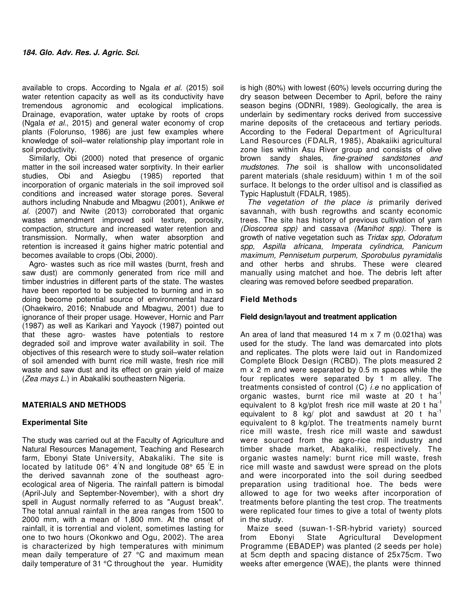available to crops. According to Ngala *et al.* (2015) soil water retention capacity as well as its conductivity have tremendous agronomic and ecological implications. Drainage, evaporation, water uptake by roots of crops (Ngala *et al.,* 2015) and general water economy of crop plants (Folorunso, 1986) are just few examples where knowledge of soil–water relationship play important role in soil productivity.

Similarly, Obi (2000) noted that presence of organic matter in the soil increased water sorptivity. In their earlier studies, Obi and Asiegbu (1985) reported that incorporation of organic materials in the soil improved soil conditions and increased water storage pores. Several authors including Nnabude and Mbagwu (2001), Anikwe *et al.* (2007) and Nwite (2013) corroborated that organic wastes amendment improved soil texture, porosity, compaction, structure and increased water retention and transmission. Normally, when water absorption and retention is increased it gains higher matric potential and becomes available to crops (Obi, 2000).

Agro- wastes such as rice mill wastes (burnt, fresh and saw dust) are commonly generated from rice mill and timber industries in different parts of the state. The wastes have been reported to be subjected to burning and in so doing become potential source of environmental hazard (Ohaekwiro, 2016; Nnabude and Mbagwu, 2001) due to ignorance of their proper usage. However, Hornic and Parr (1987) as well as Karikari and Yayock (1987) pointed out that these agro- wastes have potentials to restore degraded soil and improve water availability in soil. The objectives of this research were to study soil–water relation of soil amended with burnt rice mill waste, fresh rice mill waste and saw dust and its effect on grain yield of maize (*Zea mays L.*) in Abakaliki southeastern Nigeria.

# **MATERIALS AND METHODS**

# **Experimental Site**

The study was carried out at the Faculty of Agriculture and Natural Resources Management, Teaching and Research farm, Ebonyi State University, Abakaliki. The site is located by latitude 06° 4<sup>/</sup>N and longitude 08° 65<sup>/</sup>E in the derived savannah zone of the southeast agroecological area of Nigeria. The rainfall pattern is bimodal (April-July and September-November), with a short dry spell in August normally referred to as "August break". The total annual rainfall in the area ranges from 1500 to 2000 mm, with a mean of 1,800 mm. At the onset of rainfall, it is torrential and violent, sometimes lasting for one to two hours (Okonkwo and Ogu, 2002). The area is characterized by high temperatures with minimum mean daily temperature of 27 °C and maximum mean daily temperature of 31 °C throughout the year. Humidity

is high (80%) with lowest (60%) levels occurring during the dry season between December to April, before the rainy season begins (ODNRI, 1989). Geologically, the area is underlain by sedimentary rocks derived from successive marine deposits of the cretaceous and tertiary periods. According to the Federal Department of Agricultural Land Resources (FDALR, 1985), Abakaiiki agricultural zone lies within Asu River group and consists of olive brown sandy shales, *fine-grained sandstones and mudstones. The* soil is shallow with unconsolidated parent materials (shale residuum) within 1 m of the soil surface. It belongs to the order ultisol and is classified as Typic Haplustult (FDALR, 1985).

*The vegetation of the place is* primarily derived savannah, with bush regrowths and scanty economic trees. The site has history of previous cultivation of yam *(Dioscorea spp)* and cassava *(Manihot spp).* There is growth of native vegetation such as *Tridax spp, Odoratum spp, Aspilla africana, Imperata cylindrica, Panicum maximum, Pennisetum purperum, Sporobulus pyramidalis*  and other herbs and shrubs. These were cleared manually using matchet and hoe. The debris left after clearing was removed before seedbed preparation.

# **Field Methods**

## **Field design/layout and treatment application**

An area of land that measured 14 m x 7 m (0.021ha) was used for the study. The land was demarcated into plots and replicates. The plots were laid out in Randomized Complete Block Design (RCBD). The plots measured 2 m x 2 m and were separated by 0.5 m spaces while the four replicates were separated by 1 m alley. The treatments consisted of control (C) *i.e* no application of organic wastes, burnt rice mil waste at 20 t ha<sup>-1</sup> equivalent to 8 kg/plot fresh rice mill waste at 20 t ha<sup>-1</sup> equivalent to 8 kg/ plot and sawdust at 20 t  $ha^{-1}$ equivalent to 8 kg/plot. The treatments namely burnt rice mill waste, fresh rice mill waste and sawdust were sourced from the agro-rice mill industry and timber shade market, Abakaliki, respectively. The organic wastes namely: burnt rice mill waste, fresh rice mill waste and sawdust were spread on the plots and were incorporated into the soil during seedbed preparation using traditional hoe. The beds were allowed to age for two weeks after incorporation of treatments before planting the test crop. The treatments were replicated four times to give a total of twenty plots in the study.

Maize seed (suwan-1-SR-hybrid variety) sourced from Ebonyi State Agricultural Development Programme (EBADEP) was planted (2 seeds per hole) at 5cm depth and spacing distance of 25x75cm. Two weeks after emergence (WAE), the plants were thinned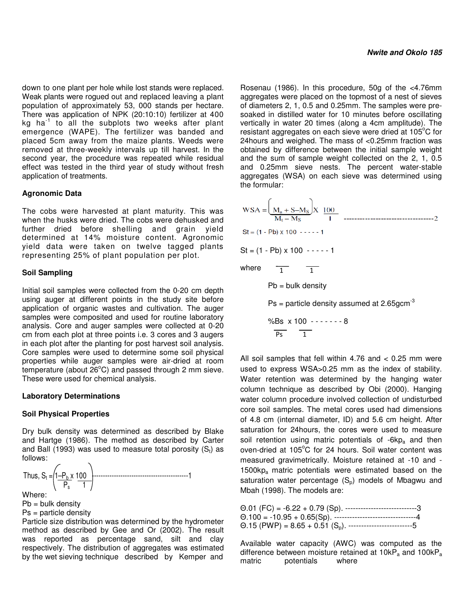down to one plant per hole while lost stands were replaced. Weak plants were rogued out and replaced leaving a plant population of approximately 53, 000 stands per hectare. There was application of NPK (20:10:10) fertilizer at 400 kg ha $^{-1}$  to all the subplots two weeks after plant emergence (WAPE). The fertilizer was banded and placed 5cm away from the maize plants. Weeds were removed at three-weekly intervals up till harvest. In the second year, the procedure was repeated while residual effect was tested in the third year of study without fresh application of treatments.

## **Agronomic Data**

The cobs were harvested at plant maturity. This was when the husks were dried. The cobs were dehusked and further dried before shelling and grain yield determined at 14% moisture content. Agronomic yield data were taken on twelve tagged plants representing 25% of plant population per plot.

## **Soil Sampling**

Initial soil samples were collected from the 0-20 cm depth using auger at different points in the study site before application of organic wastes and cultivation. The auger samples were composited and used for routine laboratory analysis. Core and auger samples were collected at 0-20 cm from each plot at three points i.e. 3 cores and 3 augers in each plot after the planting for post harvest soil analysis. Core samples were used to determine some soil physical properties while auger samples were air-dried at room temperature (about  $26^{\circ}$ C) and passed through 2 mm sieve. These were used for chemical analysis.

#### **Laboratory Determinations**

#### **Soil Physical Properties**

Dry bulk density was determined as described by Blake and Hartge (1986). The method as described by Carter and Ball (1993) was used to measure total porosity  $(S_t)$  as follows:



Where: Where:

 $Pb = bulk density$ 

Ps = particle density

Particle size distribution was determined by the hydrometer method as described by Gee and Or (2002). The result was reported as percentage sand, silt and clay respectively. The distribution of aggregates was estimated by the wet sieving technique described by Kemper and

Rosenau (1986). In this procedure, 50g of the <4.76mm aggregates were placed on the topmost of a nest of sieves of diameters 2, 1, 0.5 and 0.25mm. The samples were presoaked in distilled water for 10 minutes before oscillating vertically in water 20 times (along a 4cm amplitude). The resistant aggregates on each sieve were dried at 105°C for 24hours and weighed. The mass of <0.25mm fraction was obtained by difference between the initial sample weight and the sum of sample weight collected on the 2, 1, 0.5 and 0.25mm sieve nests. The percent water-stable aggregates (WSA) on each sieve was determined using the formular:

 $St = (1 - Pb) \times 100 - - - - 1$  $St = (1 - Pb) \times 100 - - - - 1$ where  $\overline{1}$   $\overline{1}$  $Pb = bulk density$  $Ps =$  particle density assumed at 2.65 $gcm^{-3}$  %Bs x 100 - - - - - - - 8  $\overline{Ps}$  1

All soil samples that fell within 4.76 and < 0.25 mm were used to express WSA>0.25 mm as the index of stability. Water retention was determined by the hanging water column technique as described by Obi (2000). Hanging water column procedure involved collection of undisturbed core soil samples. The metal cores used had dimensions of 4.8 cm (internal diameter, ID) and 5.6 cm height. After saturation for 24hours, the cores were used to measure soil retention using matric potentials of  $-6kp_a$  and then oven-dried at  $105^{\circ}$ C for 24 hours. Soil water content was measured gravimetrically. Moisture retained at -10 and -  $1500kp_a$  matric potentials were estimated based on the saturation water percentage  $(S_n)$  models of Mbagwu and Mbah (1998). The models are:

| $\Theta.01$ (FC) = -6.22 + 0.79 (Sp). -----------------------------3             |
|----------------------------------------------------------------------------------|
| $\Theta$ .100 = -10.95 + 0.65(Sp). ----------------------------------4           |
| $\Theta$ .15 (PWP) = 8.65 + 0.51 (S <sub>o</sub> ). ---------------------------5 |

Available water capacity (AWC) was computed as the difference between moisture retained at  $10kP_a$  and  $100kP_a$  matric protentials where potentials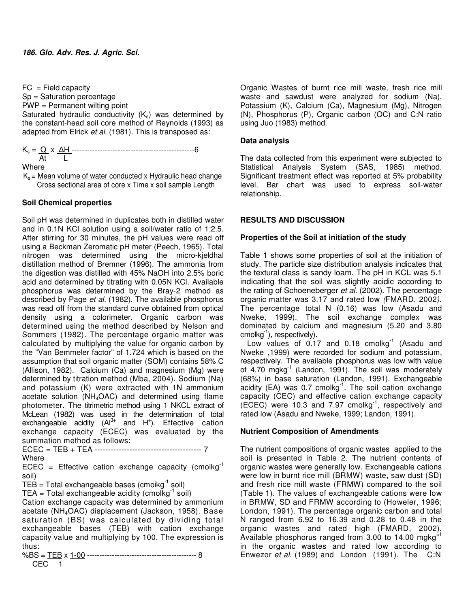$FC = Field capacity$ 

Sp = Saturation percentage

PWP = Permanent wilting point

Saturated hydraulic conductivity  $(K_s)$  was determined by the constant-head soil core method of Reynolds (1993) as adapted from Elrick *et al.* (1981). This is transposed as:

Ks = Q x ∆H ------------------------------------------------6

 At L Where

 $K_s$  = Mean volume of water conducted x Hydraulic head change Cross sectional area of core x Time x soil sample Length

## **Soil Chemical properties**

Soil pH was determined in duplicates both in distilled water and in 0.1N KCl solution using a soil/water ratio of 1:2.5. After stirring for 30 minutes, the pH values were read off using a Beckman Zeromatic pH meter (Peech, 1965). Total nitrogen was determined using the micro-kjeldhal distillation method of Bremner (1996). The ammonia from the digestion was distilled with 45% NaOH into 2.5% boric acid and determined by titrating with 0.05N KCl. Available phosphorus was determined by the Bray-2 method as described by Page *et al.* (1982). The available phosphorus was read off from the standard curve obtained from optical density using a colorimeter. Organic carbon was determined using the method described by Nelson and Sommers (1982). The percentage organic matter was calculated by multiplying the value for organic carbon by the "Van Bemmeler factor" of 1.724 which is based on the assumption that soil organic matter (SOM) contains 58% C (Allison, 1982). Calcium (Ca) and magnesium (Mg) were determined by titration method (Mba, 2004). Sodium (Na) and potassium (K) were extracted with 1N ammonium acetate solution (NH4OAC) and determined using flame photometer. The titrimetric method using 1 NKCL extract of McLean (1982) was used in the determination of total exchangeable acidity  $(AI^{3+}$  and  $H^+$ ). Effective cation exchange capacity (ECEC) was evaluated by the summation method as follows: ECEC = TEB + TEA ---------------------------------------- 7

Where

ECEC = Effective cation exchange capacity (cmolkg<sup>-1</sup> soil)

 $TEB = Total exchangeable bases (cmoikg<sup>-1</sup> soil)$ 

TEA = Total exchangeable acidity (cmolkg<sup>-1</sup> soil)

Cation exchange capacity was determined by ammonium acetate (NH4OAC) displacement (Jackson, 1958). Base saturation (BS) was calculated by dividing total exchangeable bases (TEB) with cation exchange capacity value and multiplying by 100. The expression is thus:

%BS = TEB x 1-00 -------------------------------------------- 8 CEC 1

Organic Wastes of burnt rice mill waste, fresh rice mill waste and sawdust were analyzed for sodium (Na), Potassium (K), Calcium (Ca), Magnesium (Mg), Nitrogen (N), Phosphorus (P), Organic carbon (OC) and C:N ratio using Juo (1983) method.

## **Data analysis**

The data collected from this experiment were subjected to Statistical Analysis System (SAS, 1985) method. Significant treatment effect was reported at 5% probability level. Bar chart was used to express soil-water relationship.

# **RESULTS AND DISCUSSION**

# **Properties of the Soil at initiation of the study**

Table 1 shows some properties of soil at the initiation of study. The particle size distribution analysis indicates that the textural class is sandy loam. The pH in KCL was 5.1 indicating that the soil was slightly acidic according to the rating of Schoeneberger *et al.* (2002). The percentage organic matter was 3.17 and rated low *(*FMARD, 2002*).*  The percentage total N (0.16) was low (Asadu and Nweke, 1999). The soil exchange complex was dominated by calcium and magnesium (5.20 and 3.80 cmolkg<sup>-1</sup>), respectively).

Low values of  $0.17$  and  $0.18$  cmolkg<sup>-1</sup> (Asadu and Nweke ,1999) were recorded for sodium and potassium, respectively. The available phosphorus was low with value of 4.70 mgkg $^{-1}$  (Landon, 1991). The soil was moderately (68%) in base saturation (Landon, 1991). Exchangeable acidity (EA) was  $0.7$  cmolkg<sup>-1</sup>. The soil cation exchange capacity (CEC) and effective cation exchange capacity (ECEC) were 10.3 and 7.97 cmolkg-1, respectively and rated low (Asadu and Nweke, 1999; Landon, 1991).

# **Nutrient Composition of Amendments**

The nutrient compositions of organic wastes applied to the soil is presented in Table 2. The nutrient contents of organic wastes were generally low. Exchangeable cations were low in burnt rice mill (BRMW) waste, saw dust (SD) and fresh rice mill waste (FRMW) compared to the soil (Table 1). The values of exchangeable cations were low in BRMW, SD and FRMW according to (Howeler, 1996; London, 1991). The percentage organic carbon and total N ranged from 6.92 to 16.39 and 0.28 to 0.48 in the organic wastes and rated high (FMARD, 2002). Available phosphorus ranged from 3.00 to 14.00 mgkg<sup>+1</sup> in the organic wastes and rated low according to Enwezor *et al*. (1989) and London (1991). The C:N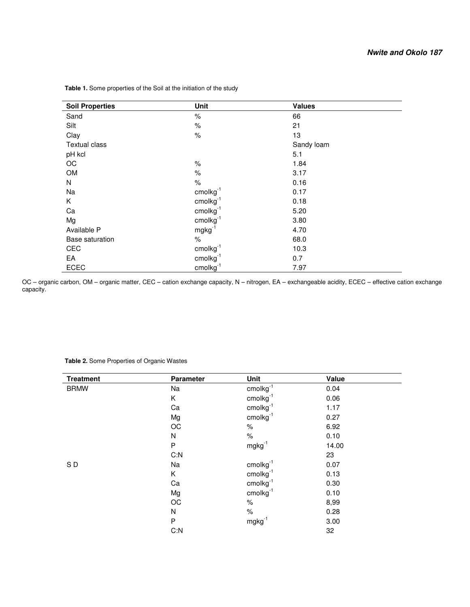| <b>Soil Properties</b> | Unit              | <b>Values</b> |
|------------------------|-------------------|---------------|
| Sand                   | $\%$              | 66            |
| Silt                   | $\%$              | 21            |
| Clay                   | $\%$              | 13            |
| <b>Textual class</b>   |                   | Sandy loam    |
| pH kcl                 |                   | 5.1           |
| OC                     | $\%$              | 1.84          |
| OM                     | $\%$              | 3.17          |
| N                      | $\%$              | 0.16          |
| Na                     | $cm$ olkg $^{-1}$ | 0.17          |
| K                      | $cm$ olkg $^{-1}$ | 0.18          |
| Ca                     | $cm$ olkg $^{-1}$ | 5.20          |
| Mg                     | $cm$ olkg $^{-1}$ | 3.80          |
| Available P            | $mgkg^{-1}$       | 4.70          |
| <b>Base saturation</b> | $\%$              | 68.0          |
| CEC                    | $cm$ olkg $^{-1}$ | 10.3          |
| EA                     | $cm$ olkg $^{-1}$ | 0.7           |
| <b>ECEC</b>            | $cm$ olkg $^{-1}$ | 7.97          |

 **Table 1.** Some properties of the Soil at the initiation of the study

OC – organic carbon, OM – organic matter, CEC – cation exchange capacity, N – nitrogen, EA – exchangeable acidity, ECEC – effective cation exchange capacity.

| <b>Treatment</b> | <b>Parameter</b> | Unit              | Value |
|------------------|------------------|-------------------|-------|
| <b>BRMW</b>      | Na               | $cm$ olkg $^{-1}$ | 0.04  |
|                  | Κ                | $cm$ olkg $^{-1}$ | 0.06  |
|                  | Ca               | $cm$ olkg $^{-1}$ | 1.17  |
|                  | Mg               | $cm$ olkg $^{-1}$ | 0.27  |
|                  | $_{\rm OC}$      | ℅                 | 6.92  |
|                  | ${\sf N}$        | $\%$              | 0.10  |
|                  | ${\sf P}$        | $mgkg^{-1}$       | 14.00 |
|                  | C: N             |                   | 23    |
| SD               | Na               | $cm$ olkg $^{-1}$ | 0.07  |
|                  | Κ                | $cm$ olkg $^{-1}$ | 0.13  |
|                  | Ca               | $cm$ olkg $^{-1}$ | 0.30  |
|                  | Mg               | $cm$ olkg $^{-1}$ | 0.10  |
|                  | OC               | $\%$              | 8,99  |
|                  | N                | %                 | 0.28  |
|                  | P                | $mgkg^{-1}$       | 3.00  |
|                  | C: N             |                   | 32    |

## **Table 2.** Some Properties of Organic Wastes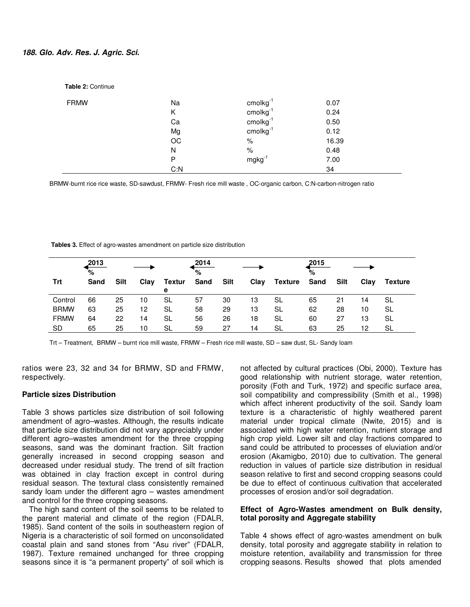#### **188. Glo. Adv. Res. J. Agric. Sci.**

| <b>Table 2: Continue</b> |      |                    |       |
|--------------------------|------|--------------------|-------|
| <b>FRMW</b>              | Na   | $cm$ olkg $^{-1}$  | 0.07  |
|                          | Κ    | $cm$ olkg $^{-1}$  | 0.24  |
|                          | Ca   | $cm$ olkg $^{-1}$  | 0.50  |
|                          | Mg   | $cm$ olkg $^{-1}$  | 0.12  |
|                          | OC   | $\%$               | 16.39 |
|                          | N    | $\%$               | 0.48  |
|                          | P    | mgkg <sup>-1</sup> | 7.00  |
|                          | C: N |                    | 34    |

BRMW-burnt rice rice waste, SD-sawdust, FRMW- Fresh rice mill waste , OC-organic carbon, C:N-carbon-nitrogen ratio

 **Tables 3.** Effect of agro-wastes amendment on particle size distribution

|             | ,2013<br>% |             |      |                    | 2014<br>$\%$ |      |      |                | 2015<br>% |      |      |                |
|-------------|------------|-------------|------|--------------------|--------------|------|------|----------------|-----------|------|------|----------------|
| Trt         | Sand       | <b>Silt</b> | Clay | <b>Textur</b><br>е | Sand         | Silt | Clay | <b>Texture</b> | Sand      | Silt | Clav | <b>Texture</b> |
| Control     | 66         | 25          | 10   | SL                 | 57           | 30   | 13   | SL             | 65        | 21   | 14   | SL             |
| <b>BRMW</b> | 63         | 25          | 12   | SL                 | 58           | 29   | 13   | <b>SL</b>      | 62        | 28   | 10   | SL             |
| <b>FRMW</b> | 64         | 22          | 14   | SL                 | 56           | 26   | 18   | SL             | 60        | 27   | 13   | SL             |
| SD          | 65         | 25          | 10   | SL                 | 59           | 27   | 14   | SL             | 63        | 25   | 12   | SL             |

Trt – Treatment, BRMW – burnt rice mill waste, FRMW – Fresh rice mill waste, SD – saw dust, SL- Sandy loam

ratios were 23, 32 and 34 for BRMW, SD and FRMW, respectively.

#### **Particle sizes Distribution**

Table 3 shows particles size distribution of soil following amendment of agro–wastes. Although, the results indicate that particle size distribution did not vary appreciably under different agro–wastes amendment for the three cropping seasons, sand was the dominant fraction. Silt fraction generally increased in second cropping season and decreased under residual study. The trend of silt fraction was obtained in clay fraction except in control during residual season. The textural class consistently remained sandy loam under the different agro – wastes amendment and control for the three cropping seasons.

The high sand content of the soil seems to be related to the parent material and climate of the region (FDALR, 1985). Sand content of the soils in southeastern region of Nigeria is a characteristic of soil formed on unconsolidated coastal plain and sand stones from "Asu river" (FDALR, 1987). Texture remained unchanged for three cropping seasons since it is "a permanent property" of soil which is not affected by cultural practices (Obi, 2000). Texture has good relationship with nutrient storage, water retention, porosity (Foth and Turk, 1972) and specific surface area, soil compatibility and compressibility (Smith et al., 1998) which affect inherent productivity of the soil. Sandy loam texture is a characteristic of highly weathered parent material under tropical climate (Nwite, 2015) and is associated with high water retention, nutrient storage and high crop yield. Lower silt and clay fractions compared to sand could be attributed to processes of eluviation and/or erosion (Akamigbo, 2010) due to cultivation. The general reduction in values of particle size distribution in residual season relative to first and second cropping seasons could be due to effect of continuous cultivation that accelerated processes of erosion and/or soil degradation.

## **Effect of Agro-Wastes amendment on Bulk density, total porosity and Aggregate stability**

Table 4 shows effect of agro-wastes amendment on bulk density, total porosity and aggregate stability in relation to moisture retention, availability and transmission for three cropping seasons. Results showed that plots amended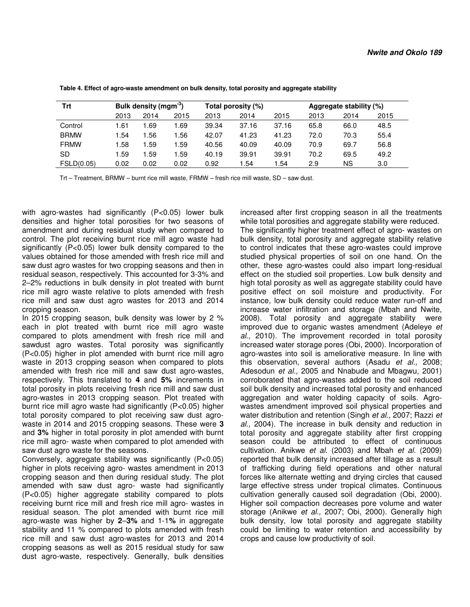| Trt         | Bulk density (mgm <sup>-3</sup> ) |       |      | Total porosity (%) |       |       |      | Aggregate stability (%) |      |  |
|-------------|-----------------------------------|-------|------|--------------------|-------|-------|------|-------------------------|------|--|
|             | 2013                              | 2014  | 2015 | 2013               | 2014  | 2015  | 2013 | 2014                    | 2015 |  |
| Control     | 1.61                              | 1.69  | .69  | 39.34              | 37.16 | 37.16 | 65.8 | 66.0                    | 48.5 |  |
| <b>BRMW</b> | 1.54                              | 56. ا | .56  | 42.07              | 41.23 | 41.23 | 72.0 | 70.3                    | 55.4 |  |
| <b>FRMW</b> | 1.58                              | 1.59  | .59  | 40.56              | 40.09 | 40.09 | 70.9 | 69.7                    | 56.8 |  |
| <b>SD</b>   | 1.59                              | l.59  | .59  | 40.19              | 39.91 | 39.91 | 70.2 | 69.5                    | 49.2 |  |
| FSLD(0.05)  | 0.02                              | 0.02  | 0.02 | 0.92               | .54   | .54   | 2.9  | ΝS                      | 3.0  |  |

 **Table 4. Effect of agro-waste amendment on bulk density, total porosity and aggregate stability** 

Trt – Treatment, BRMW – burnt rice mill waste, FRMW – fresh rice mill waste, SD – saw dust.

with agro-wastes had significantly (P<0.05) lower bulk densities and higher total porosities for two seasons of amendment and during residual study when compared to control. The plot receiving burnt rice mill agro waste had significantly (P<0.05) lower bulk density compared to the values obtained for those amended with fresh rice mill and saw dust agro wastes for two cropping seasons and then in residual season, respectively. This accounted for 3-3% and 2–2% reductions in bulk density in plot treated with burnt rice mill agro waste relative to plots amended with fresh rice mill and saw dust agro wastes for 2013 and 2014 cropping season.

In 2015 cropping season, bulk density was lower by 2 % each in plot treated with burnt rice mill agro waste compared to plots amendment with fresh rice mill and sawdust agro wastes. Total porosity was significantly (P<0.05) higher in plot amended with burnt rice mill agro waste in 2013 cropping season when compared to plots amended with fresh rice mill and saw dust agro-wastes, respectively. This translated to **4** and **5%** increments in total porosity in plots receiving fresh rice mill and saw dust agro-wastes in 2013 cropping season. Plot treated with burnt rice mill agro waste had significantly (P<0.05) higher total porosity compared to plot receiving saw dust agrowaste in 2014 and 2015 cropping seasons. These were **3**  and **3%** higher in total porosity in plot amended with burnt rice mill agro- waste when compared to plot amended with saw dust agro waste for the seasons.

Conversely, aggregate stability was significantly (P<0.05) higher in plots receiving agro- wastes amendment in 2013 cropping season and then during residual study. The plot amended with saw dust agro- waste had significantly (P<0.05) higher aggregate stability compared to plots receiving burnt rice mill and fresh rice mill agro- wastes in residual season. The plot amended with burnt rice mill agro-waste was higher by **2**–**3%** and 1-1**%** in aggregate stability and 11 % compared to plots amended with fresh rice mill and saw dust agro-wastes for 2013 and 2014 cropping seasons as well as 2015 residual study for saw dust agro-waste, respectively. Generally, bulk densities

increased after first cropping season in all the treatments while total porosities and aggregate stability were reduced. The significantly higher treatment effect of agro- wastes on bulk density, total porosity and aggregate stability relative to control indicates that these agro-wastes could improve studied physical properties of soil on one hand. On the other, these agro-wastes could also impart long-residual effect on the studied soil properties. Low bulk density and high total porosity as well as aggregate stability could have positive effect on soil moisture and productivity. For instance, low bulk density could reduce water run-off and increase water infiltration and storage (Mbah and Nwite, 2008). Total porosity and aggregate stability were improved due to organic wastes amendment (Adeleye *et al.,* 2010). The improvement recorded in total porosity increased water storage pores (Obi, 2000). Incorporation of agro-wastes into soil is ameliorative measure. In line with this observation, several authors (Asadu *et al.,* 2008; Adesodun *et al.,* 2005 and Nnabude and Mbagwu, 2001) corroborated that agro-wastes added to the soil reduced soil bulk density and increased total porosity and enhanced aggregation and water holding capacity of soils. Agrowastes amendment improved soil physical properties and water distribution and retention (Singh *et al.,* 2007; Razzi *et al.,* 2004). The increase in bulk density and reduction in total porosity and aggregate stability after first cropping season could be attributed to effect of continuous cultivation. Anikwe *et al.* (2003) and Mbah *et al.* (2009) reported that bulk density increased after tillage as a result of trafficking during field operations and other natural forces like alternate wetting and drying circles that caused large effective stress under tropical climates. Continuous cultivation generally caused soil degradation (Obi, 2000). Higher soil compaction decreases pore volume and water storage (Anikwe *et al.,* 2007; Obi, 2000). Generally high bulk density, low total porosity and aggregate stability could be limiting to water retention and accessibility by crops and cause low productivity of soil.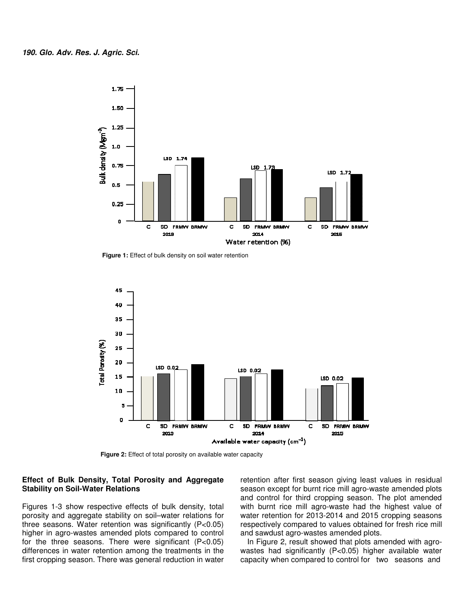

 **Figure 1:** Effect of bulk density on soil water retention



 **Figure 2:** Effect of total porosity on available water capacity

## **Effect of Bulk Density, Total Porosity and Aggregate and Stability on Soil-Water Relations**

Figures 1-3 show respective effects of bulk density, total Figures 1-3 show respective effects of bulk density, total<br>porosity and aggregate stability on soil–water relations for three seasons. Water retention was significantly ( (P<0.05) higher in agro-wastes amended plots compared to control higher in agro-wastes amended plots compared to control<br>for the three seasons. There were significant (P<0.05) differences in water retention among the treatments in the first cropping season. There was general reduction in water **IGNATE SCRIP SOLUT ATT ATT SEASURE SCRIPTION CONTROLL SCRIPTION SERVICES SEASON SEASON EXTERNAL SEASON SEASON SEASON SEASON SEASON SEASON SEASON SEASON SEASON SEASON. The plot with burnt rice mill agro-waste had the high** 

season except for burnt rice mill agro-waste amended plots and control for third cropping season. The plot amended with burnt rice mill agro-waste had the highest value of water retention for 2013-2014 and 2015 cropping seasons and control for third cropping season. The plot amended<br>with burnt rice mill agro-waste had the highest value of<br>water retention for 2013-2014 and 2015 cropping seasons<br>respectively compared to values obtained for fresh ri and sawdust agro-wastes amended plots. retention after first season giving least values in residual

<sub>ld Sawdust agro-wastes amended plots.<br>In Figure 2, result showed that plots amended with agro-</sub> wastes had significantly (P<0.05) higher available water wastes had significantly (P<0.05) higher available water<br>capacity when compared to control for two seasons and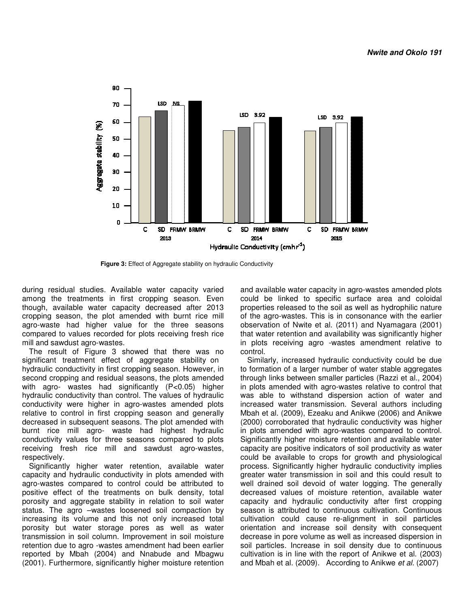

 **Figure 3:** Effect of Aggregate stability on hydraulic Conductivity

during residual studies. Available water capacity varied among the treatments in first cropping season. Even though, available water capacity decreased after 2013 cropping season, the plot amended with burnt rice mill agro-waste had higher value for the three seasons compared to values recorded for plots receiving fresh rice mill and sawdust agro-wastes.

The result of Figure 3 showed that there was no significant treatment effect of aggregate stability on hydraulic conductivity in first cropping season. However, in second cropping and residual seasons, the plots amended with agro- wastes had significantly (P<0.05) higher hydraulic conductivity than control. The values of hydraulic conductivity were higher in agro-wastes amended plots relative to control in first cropping season and generally decreased in subsequent seasons. The plot amended with burnt rice mill agro- waste had highest hydraulic conductivity values for three seasons compared to plots receiving fresh rice mill and sawdust agro respectively. ugh, available water capacity decreased after 2013 pping season, the plot amended with burnt rice mill o-waste had higher value for the three seasons npared to values recorded for plots receiving fresh rice and sawdust agr

Significantly higher water retention, available water capacity and hydraulic conductivity in plots amended with agro-wastes compared to control could be attributed to positive effect of the treatments on bulk density, total porosity and aggregate stability in relation to soil water status. The agro –wastes loosened soil compaction by increasing its volume and this not only increased total porosity but water storage pores as well as water transmission in soil column. Improvement in soil moisture retention due to agro -wastes amendment had been earlier reported by Mbah (2004) and Nnabude and Mbagwu (2001). Furthermore, significantly higher moisture r capacity and hydraulic conductivity in plots amended with<br>agro-wastes compared to control could be attributed to<br>porosity and aggregate stability in relation to soil water<br>status. The agro -wastes loosened soil compaction

and available water capacity in agro-wastes amended plots could be linked to specific surface area and coloidal properties released to the soil as well as hydrophilic nature of the agro-wastes. This is in consonance with the earlier observation of Nwite et al. (2011) and Nyamagara (2001) that water retention and availability was significantly higher in plots receiving agro -wastes amendment relative to control. ould be linked to specific surface area and coloidal<br>operties released to the soil as well as hydrophilic nature<br>the agro-wastes. This is in consonance with the earlier<br>oservation of Nwite et al. (2011) and Nyamagara (2001

Similarly, increased hydraulic conductivity could be due to formation of a larger number of water stable aggregates through links between smaller particles (Razzi et al., 2004) in plots amended with agro-wastes relative to control that was able to withstand dispersion action of water and increased water transmission. Several authors includin Mbah et al. (2009), Ezeaku and Anikwe (2006) and Anikwe (2000) corroborated that hydraulic conductivity was higher in plots amended with agro-wastes compared to control. Significantly higher moisture retention and available water capacity are positive indicators of soil productivity as water could be available to crops for growth and physiological process. Significantly higher hydraulic conductivity implies greater water transmission in soil and this could result to well drained soil devoid of water logging. The generally decreased values of moisture retention, available water capacity and hydraulic conductivity after first cropping season is attributed to continuous cultivation. Continuous cultivation could cause re-alignment in soil particles orientation and increase soil density with consequent decrease in pore volume as well as increased dispersion in soil particles. Increase in soil density due to continuous cultivation is in line with the report of Anikwe et al. (2003) and Mbah et al. (2009). According to Anikwe et al. (2007) (2009), Ezeaku and Anikwe (2006) and Anikwe<br>bborated that hydraulic conductivity was higher<br>ended with agro-wastes compared to control.<br>r higher moisture retention and available water<br>positive indicators of soil productivi values of moisture retention, available waternd hydraulic conductivity after first cropping attributed to continuous cultivation. Continuous could cause re-alignment in soil particles and increase soil density with consequ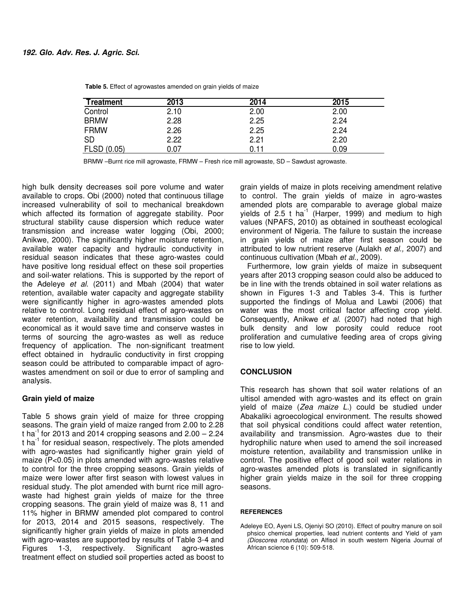| <b>Treatment</b> | 2013 | 2014 | 2015 |
|------------------|------|------|------|
| Control          | 2.10 | 2.00 | 2.00 |
| <b>BRMW</b>      | 2.28 | 2.25 | 2.24 |
| <b>FRMW</b>      | 2.26 | 2.25 | 2.24 |
| <b>SD</b>        | 2.22 | 2.21 | 2.20 |
| FLSD (0.05)      | 0.07 | 0.11 | 0.09 |

 **Table 5.** Effect of agrowastes amended on grain yields of maize

BRMW –Burnt rice mill agrowaste, FRMW – Fresh rice mill agrowaste, SD – Sawdust agrowaste.

high bulk density decreases soil pore volume and water available to crops. Obi (2000) noted that continuous tillage increased vulnerability of soil to mechanical breakdown which affected its formation of aggregate stability. Poor structural stability cause dispersion which reduce water transmission and increase water logging (Obi, 2000; Anikwe, 2000). The significantly higher moisture retention, available water capacity and hydraulic conductivity in residual season indicates that these agro-wastes could have positive long residual effect on these soil properties and soil-water relations. This is supported by the report of the Adeleye *et al.* (2011) and Mbah (2004) that water retention, available water capacity and aggregate stability were significantly higher in agro-wastes amended plots relative to control. Long residual effect of agro-wastes on water retention, availability and transmission could be economical as it would save time and conserve wastes in terms of sourcing the agro-wastes as well as reduce frequency of application. The non-significant treatment effect obtained in hydraulic conductivity in first cropping season could be attributed to comparable impact of agrowastes amendment on soil or due to error of sampling and analysis.

## **Grain yield of maize**

Table 5 shows grain yield of maize for three cropping seasons. The grain yield of maize ranged from 2.00 to 2.28 t ha<sup>-1</sup> for 2013 and 2014 cropping seasons and  $2.00 - 2.24$ t ha<sup>-1</sup> for residual season, respectively. The plots amended with agro-wastes had significantly higher grain yield of maize (P<0.05) in plots amended with agro-wastes relative to control for the three cropping seasons. Grain yields of maize were lower after first season with lowest values in residual study. The plot amended with burnt rice mill agrowaste had highest grain yields of maize for the three cropping seasons. The grain yield of maize was 8, 11 and 11% higher in BRMW amended plot compared to control for 2013, 2014 and 2015 seasons, respectively. The significantly higher grain yields of maize in plots amended with agro-wastes are supported by results of Table 3-4 and Figures 1-3, respectively. Significant agro-wastes treatment effect on studied soil properties acted as boost to

grain yields of maize in plots receiving amendment relative to control. The grain yields of maize in agro-wastes amended plots are comparable to average global maize yields of  $2.5$  t ha<sup>-1</sup> (Harper, 1999) and medium to high values (NPAFS, 2010) as obtained in southeast ecological environment of Nigeria. The failure to sustain the increase in grain yields of maize after first season could be attributed to low nutrient reserve (Aulakh *et al.,* 2007) and continuous cultivation (Mbah *et al.,* 2009).

Furthermore, low grain yields of maize in subsequent years after 2013 cropping season could also be adduced to be in line with the trends obtained in soil water relations as shown in Figures 1-3 and Tables 3-4. This is further supported the findings of Molua and Lawbi (2006) that water was the most critical factor affecting crop yield. Consequently, Anikwe *et al.* (2007) had noted that high bulk density and low porosity could reduce root proliferation and cumulative feeding area of crops giving rise to low yield.

## **CONCLUSION**

This research has shown that soil water relations of an ultisol amended with agro-wastes and its effect on grain yield of maize (*Zea maize L.*) could be studied under Abakaliki agroecological environment. The results showed that soil physical conditions could affect water retention, availability and transmission. Agro-wastes due to their hydrophilic nature when used to amend the soil increased moisture retention, availability and transmission unlike in control. The positive effect of good soil water relations in agro-wastes amended plots is translated in significantly higher grain yields maize in the soil for three cropping seasons.

#### **REFERENCES**

Adeleye EO, Ayeni LS, Ojeniyi SO (2010). Effect of poultry manure on soil phsico chemical properties, lead nutrient contents and Yield of yam *(Dioscorea rotundata*) on Alfisol in south western Nigeria Journal of African science 6 (10): 509-518.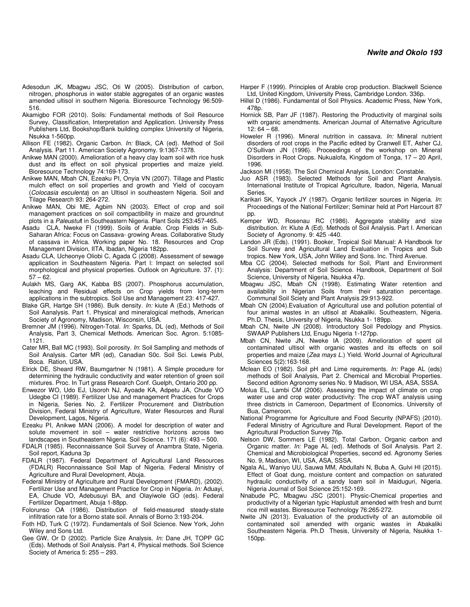- Adesodun JK, Mbagwu JSC, Oti W (2005). Distribution of carbon, nitrogen, phosphorus in water stable aggregates of an organic wastes amended ultisol in southern Nigeria. Bioresource Technology 96:509- 516.
- Akamigbo FOR (2010). Soils: Fundamental methods of Soil Resource Survey, Classification, Interpretation and Application. University Press Publishers Ltd, Bookshop/Bank building complex University of Nigeria, Nsukka 1-560pp.
- Allison FE (1982). Organic Carbon. *In:* Black, CA (ed). Method of Soil Analysis. Part 11. American Society Agronomy. 9:1367-1378.
- Anikwe MAN (2000). Amelioration of a heavy clay loam soil with rice husk dust and its effect on soil physical properties and maize yield. Bioresource Technology 74:169-173.
- Anikwe MAN, Mbah CN, Ezeaku PI, Onyia VN (2007). Tillage and Plastic mulch effect on soil properties and growth and Yield of cocoyam (*Colocasia esculenta*) on an Ultisol in southeastern Nigeria. Soil and Tilage Research 93: 264-272.
- Anikwe MAN, Obi ME, Agbim NN (2003). Effect of crop and soil management practices on soil compactibility in maize and groundnut plots in a *Paleustul*t in Southeastern Nigeria. Plant Soils 253:457-465.
- Asadu CLA, Nweke FI (1999). Soils of Arable. Crop Fields in Sub-Saharan Africa: Focus on Cassava- growing Areas. Collaborative Study of cassava in Africa. Working paper No. 18. Resources and Crop Management Division, IITA, Ibadan, Nigeria 182pp.
- Asadu CLA, Ucheonye Oliobi C, Agada C (2008). Assessment of sewage application in Southeastern Nigeria. Part l: Impact on selected soil morphological and physical properties. Outlook on Agriculture. 37. (1):  $57 - 62$ .
- Aulakh MS, Garg AK, Kabba BS (2007). Phosphorus accumulation, leaching and Residual effects on Crop yields from long-term applications in the subtropics. Soil Use and Management 23: 417-427.
- Blake GR, Hartge SH (1986). Bulk density. *In:* kiute A (Ed.) Methods of Soil Aanalysis. Part 1. Physical and mineralogical methods, American Society of Agronomy, Madison, Wisconsin, USA.
- Bremner JM (1996). Nitrogen-Total. *In*: Sparks, DL (ed), Methods of Soil Analysis, Part 3, Chemical Methods. American Soc. Agron. 5:1085- 1121.
- Cater MR, Ball MC (1993). Soil porosity. *In*: Soil Sampling and methods of Soil Analysis. Carter MR (ed), Canadian S0c. Soil Sci. Lewis Publ, Boca. Ration, USA.
- Elrick DE, Sheard RW, Baumgartner N (1981). A Simple procedure for determining the hydraulic conductivity and water retention of green soil mixtures. Proc. In Turt grass Research Conf. Guelph, Ontario 200 pp.
- Enwezor WO, Udo EJ, Usoroh NJ, Ayoade KA, Adpetu JA, Chude VO Udegbe CI (1989). Fertilizer Use and management Practices for Crops in Nigeria, Series No. 2. Fertilizer Procurement and Distribution Division, Federal Ministry of Agriculture, Water Resources and Rural Development, Lagos, Nigeria.
- Ezeaku PI, Anikwe MAN (2006). A model for description of water and solute movement in soil – water restrictive horizons across two landscapes in Southeastern Nigeria. Soil Science. 171 (6): 493 – 500.
- FDALR (1985). Reconnaissance Soil Survey of Anambra State, Nigeria. Soil report, Kaduna 3p
- FDALR (1987). Federal Department of Agricultural Land Resources (FDALR) Reconnaissance Soil Map of Nigeria. Federal Ministry of Agriculture and Rural Development, Abuja.
- Federal Ministry of Agriculture and Rural Development (FMARD), (2002). Fertilizer Use and Management Practice for Crop in Nigeria. *In:* Aduayi, EA, Chude VO, Adebusuyi BA, and Olayiwole GO (eds). Federal Fertilizer Department, Abuja 1-88pp.
- Folorunso OA (1986). Distribution of field-measured steady-state infiltration rate for a Borno state soil. Annals of Borno 3:193-204.
- Foth HD, Turk C (1972). Fundamentals of Soil Science. New York, John Wiley and Sons Ltd.
- Gee GW, Or D (2002). Particle Size Analysis. *In:* Dane JH, TOPP GC (Eds). Methods of Soil Analysis. Part 4, Physical methods. Soil Science Society of America 5: 255 – 293.
- Harper F (1999). Principles of Arable crop production. Blackwell Science Ltd, United Kingdom, University Press, Cambridge London. 336p.
- Hillel D (1986). Fundamental of Soil Physics. Academic Press, New York, 478p.
- Hornick SB, Parr JF (1987). Restoring the Productivity of marginal soils with organic amendments. American Journal of Alternative Agriculture  $12:64 - 68.$
- Howeler R (1996). Mineral nutrition in cassava. *In:* Mineral nutrient disorders of root crops in the Pacific edited by Cranwell ET, Asher CJ, O'Sullivan JN (1996). Proceedings of the workshop on Mineral Disorders in Root Crops. Nukualofa, Kingdom of Tonga, 17 – 20 April, 1996.
- Jackson MI (1958). The Soil Chemical Analysis, London: Constable.
- Juo ASR (1983). Selected Methods for Soil and Plant Analysis. International Institute of Tropical Agriculture, Ibadon, Nigeria, Manual Series.
- Karikari SK, Yayock JY (1987). Organic fertilizer sources in Nigeria. *In*: Proceedings of the National Fertilizer; Seminar held at Port Harcourt 87 pp.
- Kemper WD, Rosenau RC (1986). Aggregate stability and size distribution. *In*: Klute A (Ed). Methods of Soil Analysis. Part I. American Society of Agronomy. 9: 425 -440.
- Landon JR (Eds). (1991). Booker, Tropical Soil Manual: A Handbook for Soil Survey and Agricultural Land Evaluation in Tropics and Sub tropics. New York, USA, John Willey and Sons. Inc. Third Avenue.
- Mba CC (2004). Selected methods for Soil, Plant and Environment Analysis: Department of Soil Science. Handbook, Department of Soil Science, University of Nigeria, Nsukka 47p.
- Mbagwu JSC, Mbah CN (1998). Estimating Water retention and availability in Nigerian Soils from their saturation percentage. Communal Soil Sciety and Plant Analysis 29:913-922.
- Mbah CN (2004).Evaluation of Agricultural use and pollution potential of four animal wastes in an ultisol at Abakaliki. Southeastern, Nigeria. Ph.D. Thesis, University of Nigeria, Nsukka 1- 189pp.
- Mbah CN, Nwite JN (2008). Introductory Soil Pedology and Physics. SWAAP Publishers Ltd, Enugu Nigeria 1-127pp.
- Mbah CN, Nwite JN, Nweke IA (2009). Amelioration of spent oil contaminated ultisol with organic wastes and its effects on soil properties and maize (*Zea mays L.*) Yield. World Journal of Agricultural Sciences 5(2):163-168.
- Mclean EO (1982). Soil pH and Lime requirements. *In:* Page AL (eds) methods of Soil Analysis, Part 2. Chemical and Microbial Properties. Second edition Agronomy series No. 9 Madison, WI USA, ASA, SSSA.
- Molua EL, Lambi CM (2006). Assessing the impact of climate on crop water use and crop water productivity: The crop WAT analysis using three districts in Cameroon, Department of Economics. University of Bua, Cameroon.
- National Programme for Agriculture and Food Security (NPAFS) (2010). Federal Ministry of Agriculture and Rural Development. Report of the Agricultural Production Survey 76p.
- Nelson DW, Sommers LE (1982). Total Carbon, Organic carbon and Organic matter. *In:* Page AL (ed). Methods of Soil Analysis. Part 2. Chemical and Microbiological Properties, second ed. Agronomy Series No. 9, Madison, WI, USA, ASA, SSSA.
- Ngala AL, Waniyo UU, Sauwa MM, Abdullahi N, Buba A, Gulvi HI (2015). Effect of Goat dung, moisture content and compaction on saturated hydraulic conductivity of a sandy loam soil in Maiduguri, Nigeria. Nigeria Journal of Soil Science 25:152-169.
- Nnabude PC, Mbagwu JSC (2001). Physic-Chemical properties and productivity of a Nigerian typic Haplustult amended with fresh and burnt rice mill wastes. Bioresource Technology 76:265-272.
- Nwite JN (2013). Evaluation of the productivity of an automobile oil contaminated soil amended with organic wastes in Abakaliki Southeastern Nigeria. Ph.D Thesis, University of Nigeria, Nsukka 1- 150pp.